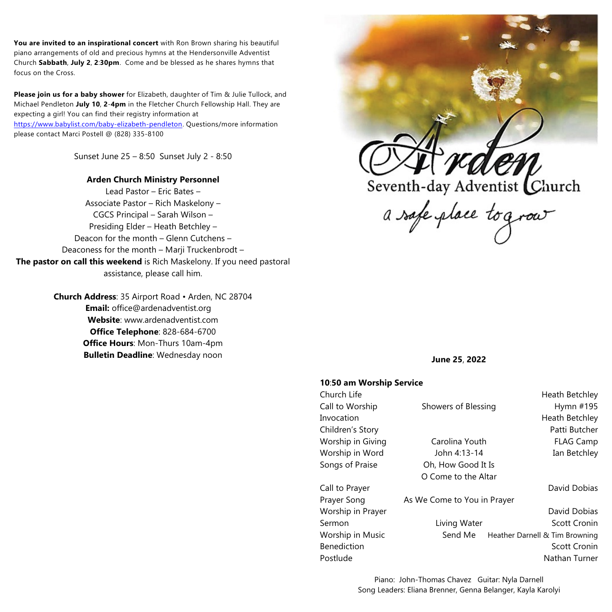**You are invited to an inspirational concert** with Ron Brown sharing his beautiful piano arrangements of old and precious hymns at the Hendersonville Adventist Church **Sabbath**, **July 2**, **2**:**30pm**. Come and be blessed as he shares hymns that focus on the Cross.

**Please join us for a baby shower** for Elizabeth, daughter of Tim & Julie Tullock, and Michael Pendleton **July 10**, **2**-**4pm** in the Fletcher Church Fellowship Hall. They are expecting a girl! You can find their registry information at <https://www.babylist.com/baby-elizabeth-pendleton>. Questions/more information please contact Marci Postell @ (828) 335-8100

Sunset June 25 – 8:50 Sunset July 2 - 8:50

## **Arden Church Ministry Personnel**

Lead Pastor – Eric Bates – Associate Pastor – Rich Maskelony – CGCS Principal – Sarah Wilson – Presiding Elder – Heath Betchley – Deacon for the month – Glenn Cutchens – Deaconess for the month – Marji Truckenbrodt – **The pastor on call this weekend** is Rich Maskelony. If you need pastoral assistance, please call him.

> **Church Address**: 35 Airport Road • Arden, NC 28704 **Email:** office@ardenadventist.org **Website**: www.ardenadventist.com **Office Telephone**: 828-684-6700 **Office Hours**: Mon-Thurs 10am-4pm **Bulletin Deadline**: Wednesday noon **June <sup>25</sup>**, **<sup>2022</sup>**



# **10**:**50 am Worship Service**

| Church Life        |                             | Heath Betchley                 |
|--------------------|-----------------------------|--------------------------------|
| Call to Worship    | Showers of Blessing         | Hymn #195                      |
| Invocation         |                             | Heath Betchley                 |
| Children's Story   |                             | Patti Butcher                  |
| Worship in Giving  | Carolina Youth              | <b>FLAG Camp</b>               |
| Worship in Word    | John 4:13-14                | Ian Betchley                   |
| Songs of Praise    | Oh, How Good It Is          |                                |
|                    | O Come to the Altar         |                                |
| Call to Prayer     |                             | David Dobias                   |
| Prayer Song        | As We Come to You in Prayer |                                |
| Worship in Prayer  |                             | David Dobias                   |
| Sermon             | Living Water                | Scott Cronin                   |
| Worship in Music   | Send Me                     | Heather Darnell & Tim Browning |
| <b>Benediction</b> |                             | <b>Scott Cronin</b>            |
| Postlude           |                             | Nathan Turner                  |
|                    |                             |                                |

Piano: John-Thomas Chavez Guitar: Nyla Darnell Song Leaders: Eliana Brenner, Genna Belanger, Kayla Karolyi